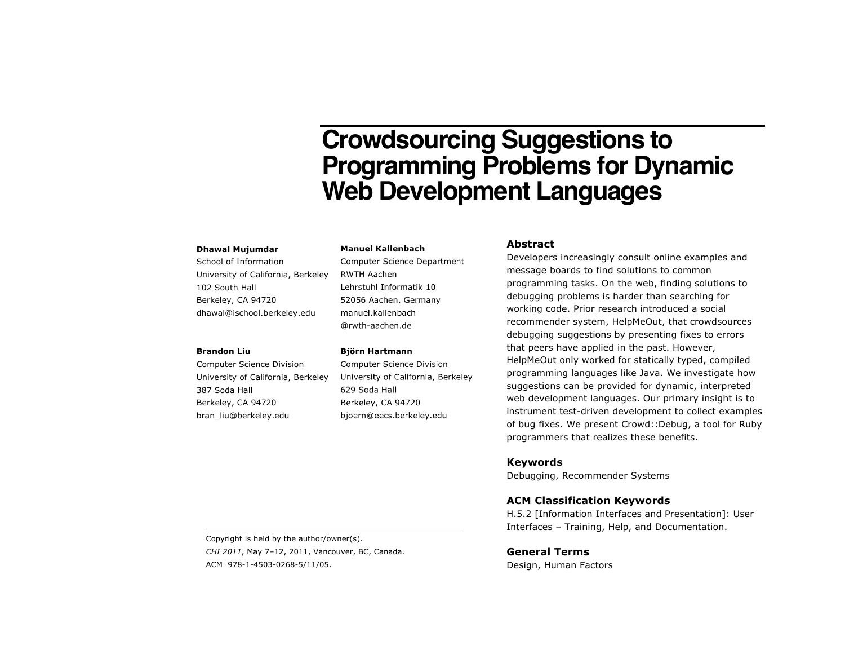# **Crowdsourcing Suggestions to Programming Problems for Dynamic Web Development Languages**

#### **Dhawal Mujumdar**

School of Information University of California, Berkeley 102 South Hall Berkeley, CA 94720 dhawal@ischool.berkeley.edu

#### **Brandon Liu**

Computer Science Division University of California, Berkeley 387 Soda Hall Berkeley, CA 94720 bran\_liu@berkeley.edu

#### **Manuel Kallenbach**

Computer Science Department RWTH Aachen Lehrstuhl Informatik 10 52056 Aachen, Germany manuel.kallenbach @rwth-aachen.de

#### **Björn Hartmann**

Computer Science Division University of California, Berkeley 629 Soda Hall Berkeley, CA 94720 bjoern@eecs.berkeley.edu

#### **Abstract**

Developers increasingly consult online examples and message boards to find solutions to common programming tasks. On the web, finding solutions to debugging problems is harder than searching for working code. Prior research introduced a social recommender system, HelpMeOut, that crowdsources debugging suggestions by presenting fixes to errors that peers have applied in the past. However, HelpMeOut only worked for statically typed, compiled programming languages like Java. We investigate how suggestions can be provided for dynamic, interpreted web development languages. Our primary insight is to instrument test-driven development to collect examples of bug fixes. We present Crowd::Debug, a tool for Ruby programmers that realizes these benefits.

#### **Keywords**

Debugging, Recommender Systems

#### **ACM Classification Keywords**

H.5.2 [Information Interfaces and Presentation]: User Interfaces – Training, Help, and Documentation.

#### **General Terms**

Design, Human Factors

Copyright is held by the author/owner(s). *CHI 2011*, May 7–12, 2011, Vancouver, BC, Canada. ACM 978-1-4503-0268-5/11/05.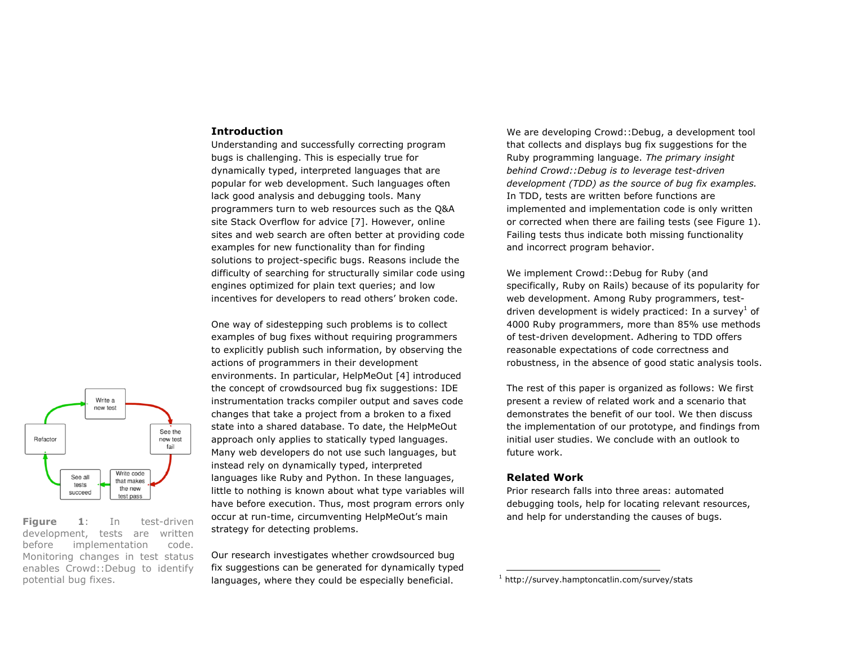#### **Introduction**

Understanding and successfully correcting program bugs is challenging. This is especially true for dynamically typed, interpreted languages that are popular for web development. Such languages often lack good analysis and debugging tools. Many programmers turn to web resources such as the Q&A site Stack Overflow for advice [7]. However, online sites and web search are often better at providing code examples for new functionality than for finding solutions to project-specific bugs. Reasons include the difficulty of searching for structurally similar code using engines optimized for plain text queries; and low incentives for developers to read others' broken code.

One way of sidestepping such problems is to collect examples of bug fixes without requiring programmers to explicitly publish such information, by observing the actions of programmers in their development environments. In particular, HelpMeOut [4] introduced the concept of crowdsourced bug fix suggestions: IDE instrumentation tracks compiler output and saves code changes that take a project from a broken to a fixed state into a shared database. To date, the HelpMeOut approach only applies to statically typed languages. Many web developers do not use such languages, but instead rely on dynamically typed, interpreted languages like Ruby and Python. In these languages, little to nothing is known about what type variables will have before execution. Thus, most program errors only occur at run-time, circumventing HelpMeOut's main strategy for detecting problems.

Our research investigates whether crowdsourced bug fix suggestions can be generated for dynamically typed languages, where they could be especially beneficial.

We are developing Crowd::Debug, a development tool that collects and displays bug fix suggestions for the Ruby programming language. *The primary insight behind Crowd::Debug is to leverage test-driven development (TDD) as the source of bug fix examples.*  In TDD, tests are written before functions are implemented and implementation code is only written or corrected when there are failing tests (see Figure 1). Failing tests thus indicate both missing functionality and incorrect program behavior.

We implement Crowd::Debug for Ruby (and specifically, Ruby on Rails) because of its popularity for web development. Among Ruby programmers, testdriven development is widely practiced: In a survey<sup>1</sup> of 4000 Ruby programmers, more than 85% use methods of test-driven development. Adhering to TDD offers reasonable expectations of code correctness and robustness, in the absence of good static analysis tools.

The rest of this paper is organized as follows: We first present a review of related work and a scenario that demonstrates the benefit of our tool. We then discuss the implementation of our prototype, and findings from initial user studies. We conclude with an outlook to future work.

#### **Related Work**

Prior research falls into three areas: automated debugging tools, help for locating relevant resources, and help for understanding the causes of bugs.



**Figure 1**: In test-driven development, tests are written before implementation code. Monitoring changes in test status enables Crowd::Debug to identify potential bug fixes.

 $1$  http://survey.hamptoncatlin.com/survey/stats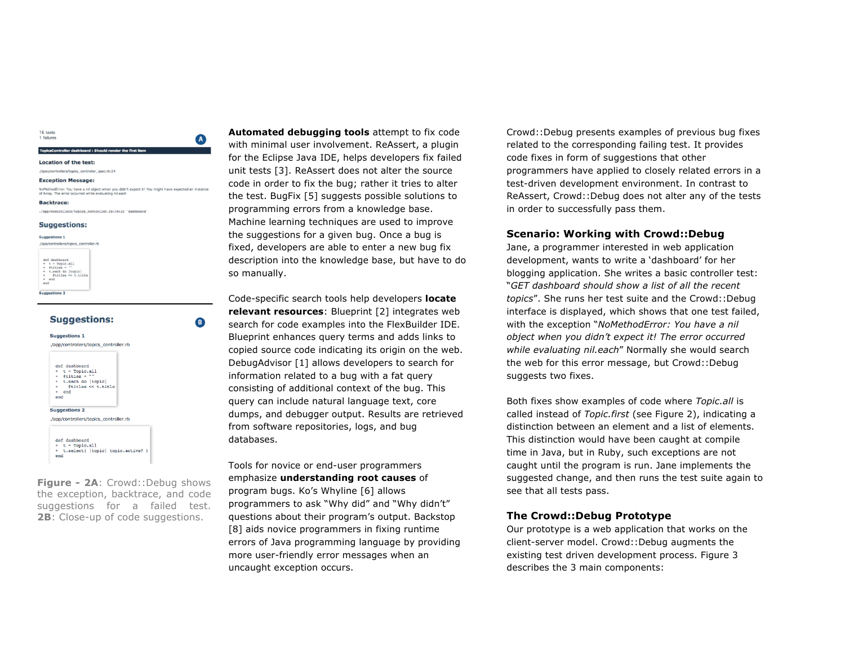#### 16 tests 1 failures

## **Location of the test:**

/spec/controllers/topics\_controller\_spec.rb:24

#### **Exception Message:**

NoMethodError: You have a nil object when you didn't expect it! You might have expected an instance **Backtrace:** 

A

 $\bullet$ 

#### ./app/controllers/topics controller.rb:16:in 'dashboard

#### **Suggestions:**



#### **Suggestions:**



**Figure - 2A**: Crowd::Debug shows the exception, backtrace, and code suggestions for a failed test. 2B: Close-up of code suggestions.

**Automated debugging tools** attempt to fix code with minimal user involvement. ReAssert, a plugin for the Eclipse Java IDE, helps developers fix failed unit tests [3]. ReAssert does not alter the source code in order to fix the bug; rather it tries to alter the test. BugFix [5] suggests possible solutions to programming errors from a knowledge base. Machine learning techniques are used to improve the suggestions for a given bug. Once a bug is fixed, developers are able to enter a new bug fix description into the knowledge base, but have to do so manually.

Code-specific search tools help developers **locate relevant resources**: Blueprint [2] integrates web search for code examples into the FlexBuilder IDE. Blueprint enhances query terms and adds links to copied source code indicating its origin on the web. DebugAdvisor [1] allows developers to search for information related to a bug with a fat query consisting of additional context of the bug. This query can include natural language text, core dumps, and debugger output. Results are retrieved from software repositories, logs, and bug databases.

Tools for novice or end-user programmers emphasize **understanding root causes** of program bugs. Ko's Whyline [6] allows programmers to ask "Why did" and "Why didn't" questions about their program's output. Backstop [8] aids novice programmers in fixing runtime errors of Java programming language by providing more user-friendly error messages when an uncaught exception occurs.

Crowd::Debug presents examples of previous bug fixes related to the corresponding failing test. It provides code fixes in form of suggestions that other programmers have applied to closely related errors in a test-driven development environment. In contrast to ReAssert, Crowd::Debug does not alter any of the tests in order to successfully pass them.

#### **Scenario: Working with Crowd::Debug**

Jane, a programmer interested in web application development, wants to write a 'dashboard' for her blogging application. She writes a basic controller test: "*GET dashboard should show a list of all the recent topics*". She runs her test suite and the Crowd::Debug interface is displayed, which shows that one test failed, with the exception "*NoMethodError: You have a nil object when you didn't expect it! The error occurred while evaluating nil.each*" Normally she would search the web for this error message, but Crowd::Debug suggests two fixes.

Both fixes show examples of code where *Topic.all* is called instead of *Topic.first* (see Figure 2), indicating a distinction between an element and a list of elements. This distinction would have been caught at compile time in Java, but in Ruby, such exceptions are not caught until the program is run. Jane implements the suggested change, and then runs the test suite again to see that all tests pass.

### **The Crowd::Debug Prototype**

Our prototype is a web application that works on the client-server model. Crowd::Debug augments the existing test driven development process. Figure 3 describes the 3 main components: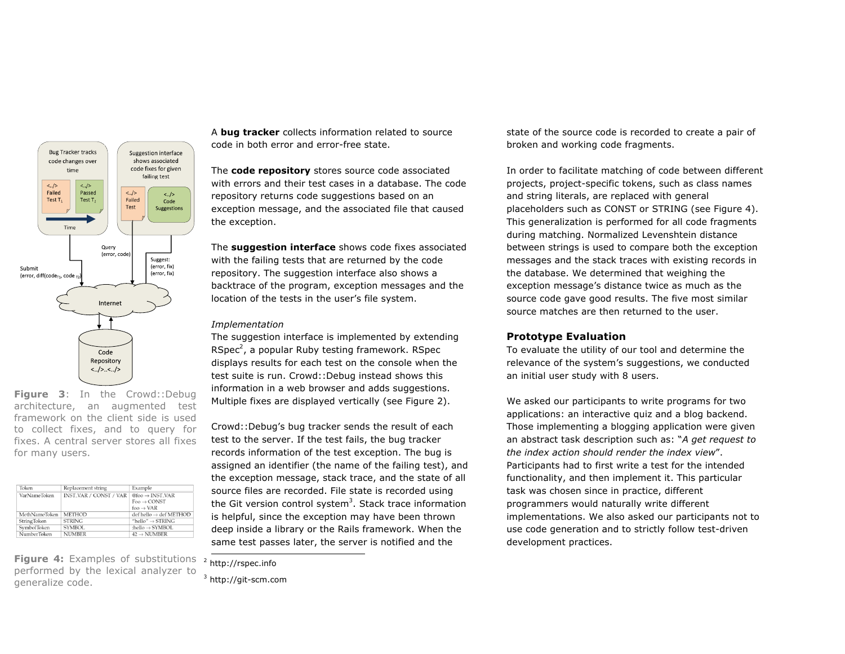

**Figure 3**: In the Crowd::Debug architecture, an augmented test framework on the client side is used to collect fixes, and to query for fixes. A central server stores all fixes for many users.

| Token              | Replacement string            | Example                              |
|--------------------|-------------------------------|--------------------------------------|
| VarNameToken       | <b>INST_VAR / CONST / VAR</b> | $@$ foo $\rightarrow$ INST VAR       |
|                    |                               | $Foo \rightarrow CONST$              |
|                    |                               | foo $\rightarrow$ VAR                |
| MethNameToken      | <b>METHOD</b>                 | $def$ hello $\rightarrow$ def METHOL |
| <b>StringToken</b> | <b>STRING</b>                 | "hello" $\rightarrow$ STRING         |
| SymbolToken        | <b>SYMBOL</b>                 | :hello $\rightarrow$ SYMBOL          |
| NumberToken        | <b>NUMBER</b>                 | $42 \rightarrow$ NUMBER              |

**Figure 4:** Examples of substitutions <sub>2</sub> http://rspec.info performed by the lexical analyzer to generalize code.

A **bug tracker** collects information related to source code in both error and error-free state.

The **code repository** stores source code associated with errors and their test cases in a database. The code repository returns code suggestions based on an exception message, and the associated file that caused the exception.

The **suggestion interface** shows code fixes associated with the failing tests that are returned by the code repository. The suggestion interface also shows a backtrace of the program, exception messages and the location of the tests in the user's file system.

#### *Implementation*

The suggestion interface is implemented by extending  $RSpec<sup>2</sup>$ , a popular Ruby testing framework. RSpec displays results for each test on the console when the test suite is run. Crowd::Debug instead shows this information in a web browser and adds suggestions. Multiple fixes are displayed vertically (see Figure 2).

Crowd::Debug's bug tracker sends the result of each test to the server. If the test fails, the bug tracker records information of the test exception. The bug is assigned an identifier (the name of the failing test), and the exception message, stack trace, and the state of all source files are recorded. File state is recorded using the Git version control system<sup>3</sup>. Stack trace information is helpful, since the exception may have been thrown deep inside a library or the Rails framework. When the same test passes later, the server is notified and the

3 http://git-scm.com

state of the source code is recorded to create a pair of broken and working code fragments.

In order to facilitate matching of code between different projects, project-specific tokens, such as class names and string literals, are replaced with general placeholders such as CONST or STRING (see Figure 4). This generalization is performed for all code fragments during matching. Normalized Levenshtein distance between strings is used to compare both the exception messages and the stack traces with existing records in the database. We determined that weighing the exception message's distance twice as much as the source code gave good results. The five most similar source matches are then returned to the user.

### **Prototype Evaluation**

To evaluate the utility of our tool and determine the relevance of the system's suggestions, we conducted an initial user study with 8 users.

We asked our participants to write programs for two applications: an interactive quiz and a blog backend. Those implementing a blogging application were given an abstract task description such as: "*A get request to the index action should render the index view*". Participants had to first write a test for the intended functionality, and then implement it. This particular task was chosen since in practice, different programmers would naturally write different implementations. We also asked our participants not to use code generation and to strictly follow test-driven development practices.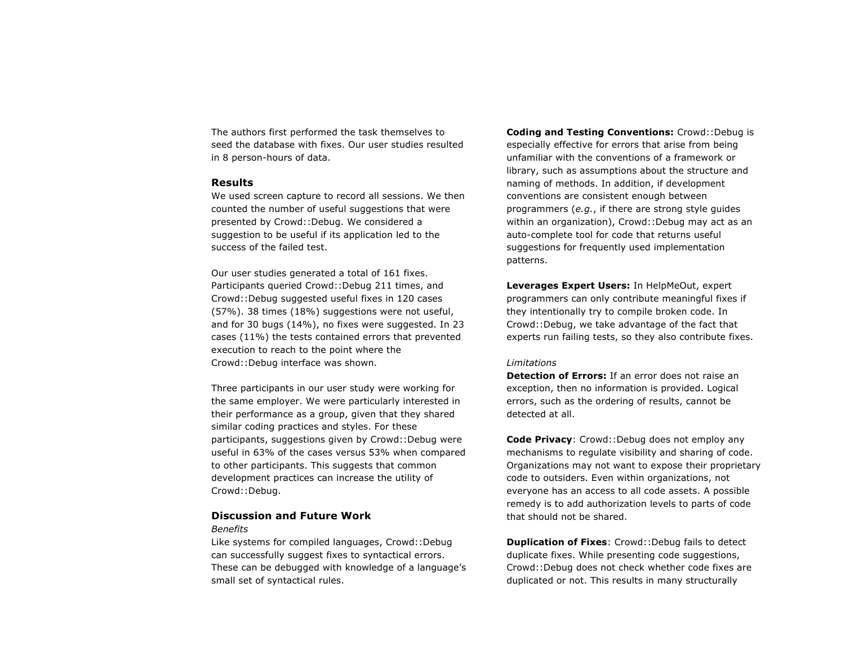The authors first performed the task themselves to seed the database with fixes. Our user studies resulted in 8 person-hours of data.

#### **Results**

We used screen capture to record all sessions. We then counted the number of useful suggestions that were presented by Crowd::Debug. We considered a suggestion to be useful if its application led to the success of the failed test.

Our user studies generated a total of 161 fixes. Participants queried Crowd::Debug 211 times, and Crowd::Debug suggested useful fixes in 120 cases (57%). 38 times (18%) suggestions were not useful, and for 30 bugs (14%), no fixes were suggested. In 23 cases (11%) the tests contained errors that prevented execution to reach to the point where the Crowd::Debug interface was shown.

Three participants in our user study were working for the same employer. We were particularly interested in their performance as a group, given that they shared similar coding practices and styles. For these participants, suggestions given by Crowd::Debug were useful in 63% of the cases versus 53% when compared to other participants. This suggests that common development practices can increase the utility of Crowd::Debug.

#### **Discussion and Future Work**  *Benefits*

Like systems for compiled languages, Crowd::Debug can successfully suggest fixes to syntactical errors. These can be debugged with knowledge of a language's small set of syntactical rules.

**Coding and Testing Conventions:** Crowd::Debug is especially effective for errors that arise from being unfamiliar with the conventions of a framework or library, such as assumptions about the structure and naming of methods. In addition, if development conventions are consistent enough between programmers (*e.g.*, if there are strong style guides within an organization), Crowd::Debug may act as an auto-complete tool for code that returns useful suggestions for frequently used implementation patterns.

**Leverages Expert Users:** In HelpMeOut, expert programmers can only contribute meaningful fixes if they intentionally try to compile broken code. In Crowd::Debug, we take advantage of the fact that experts run failing tests, so they also contribute fixes.

#### *Limitations*

**Detection of Errors:** If an error does not raise an exception, then no information is provided. Logical errors, such as the ordering of results, cannot be detected at all.

**Code Privacy**: Crowd::Debug does not employ any mechanisms to regulate visibility and sharing of code. Organizations may not want to expose their proprietary code to outsiders. Even within organizations, not everyone has an access to all code assets. A possible remedy is to add authorization levels to parts of code that should not be shared.

**Duplication of Fixes**: Crowd::Debug fails to detect duplicate fixes. While presenting code suggestions, Crowd::Debug does not check whether code fixes are duplicated or not. This results in many structurally